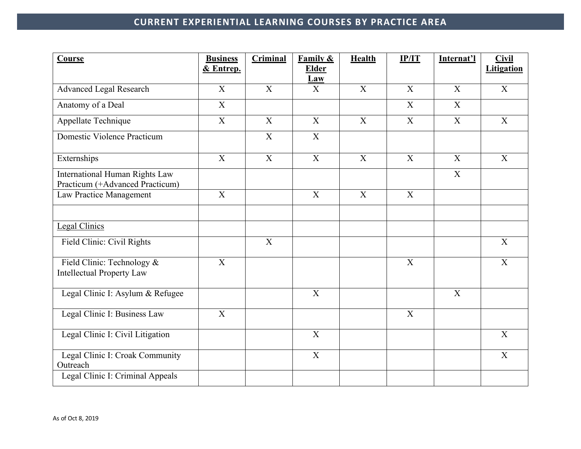| Course                                                                   | <b>Business</b>           | <b>Criminal</b> | <b>Family &amp;</b>        | <b>Health</b> | IP/IT                     | Internat'l     | <b>Civil</b>      |
|--------------------------------------------------------------------------|---------------------------|-----------------|----------------------------|---------------|---------------------------|----------------|-------------------|
|                                                                          | & Entrep.                 |                 | <b>Elder</b><br><b>Law</b> |               |                           |                | <b>Litigation</b> |
| <b>Advanced Legal Research</b>                                           | X                         | $\mathbf{X}$    | X                          | $\mathbf{X}$  | X                         | X              | X                 |
| Anatomy of a Deal                                                        | $\boldsymbol{\mathrm{X}}$ |                 |                            |               | X                         | $\mathbf{X}$   |                   |
| Appellate Technique                                                      | $\mathbf X$               | X               | $\mathbf{X}$               | $\mathbf{X}$  | $\mathbf X$               | $\mathbf X$    | X                 |
| Domestic Violence Practicum                                              |                           | $\overline{X}$  | $\overline{X}$             |               |                           |                |                   |
| Externships                                                              | $\overline{X}$            | X               | X                          | $\mathbf{X}$  | X                         | $\mathbf{X}$   | $\mathbf{X}$      |
| <b>International Human Rights Law</b><br>Practicum (+Advanced Practicum) |                           |                 |                            |               |                           | X              |                   |
| Law Practice Management                                                  | $\mathbf X$               |                 | $\mathbf X$                | X             | $\mathbf X$               |                |                   |
|                                                                          |                           |                 |                            |               |                           |                |                   |
| <b>Legal Clinics</b>                                                     |                           |                 |                            |               |                           |                |                   |
| Field Clinic: Civil Rights                                               |                           | X               |                            |               |                           |                | X                 |
| Field Clinic: Technology &<br><b>Intellectual Property Law</b>           | $\mathbf X$               |                 |                            |               | X                         |                | $\overline{X}$    |
| Legal Clinic I: Asylum & Refugee                                         |                           |                 | $\overline{X}$             |               |                           | $\overline{X}$ |                   |
| Legal Clinic I: Business Law                                             | $\mathbf X$               |                 |                            |               | $\boldsymbol{\mathrm{X}}$ |                |                   |
| Legal Clinic I: Civil Litigation                                         |                           |                 | X                          |               |                           |                | X                 |
| Legal Clinic I: Croak Community<br>Outreach                              |                           |                 | X                          |               |                           |                | $\overline{X}$    |
| Legal Clinic I: Criminal Appeals                                         |                           |                 |                            |               |                           |                |                   |